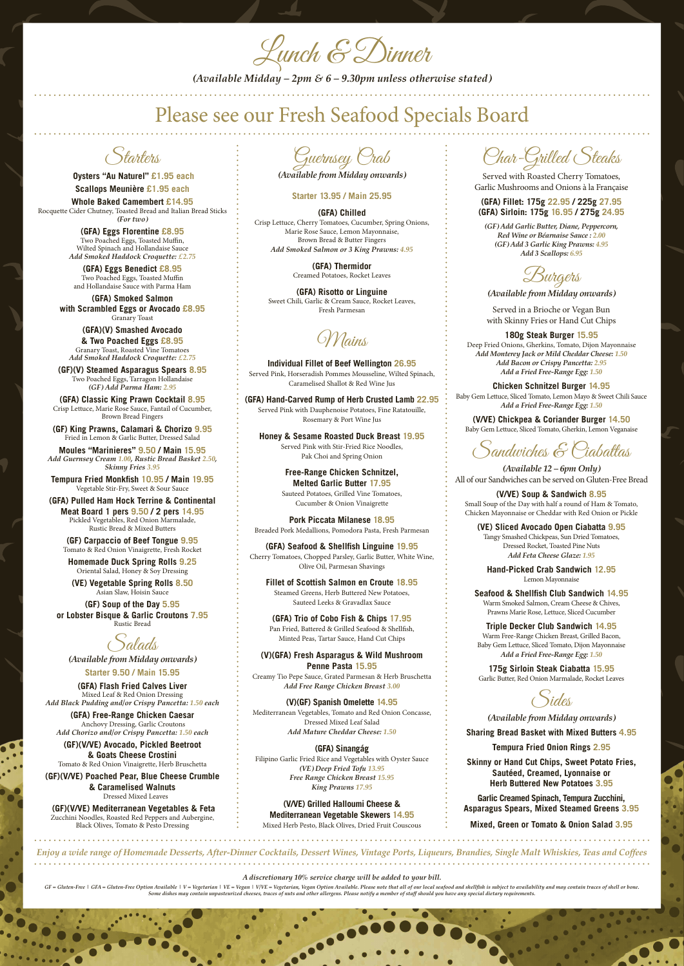#### *A discretionary 10% service charge will be added to your bill.*

GF = Gluten-Free | GFA = Gluten-Free Option Available | V = Vegetarian | VE = Vegan | V/VE = Vegatarian, Vegan Option Available. Please note that all of our local seafood and shellfish is subject to availability and may co



Lunch & Dinner

*(Available Midday – 2pm & 6 – 9.30pm unless otherwise stated)*

Starters

 **Oysters "Au Naturel" £1.95 each Scallops Meunière £1.95 each**

**Whole Baked Camembert £14.95** Rocquette Cider Chutney, Toasted Bread and Italian Bread Sticks *(For two)*

> **(GFA) Eggs Florentine £8.95** Two Poached Eggs, Toasted Muffin, Wilted Spinach and Hollandaise Sauce *Add Smoked Haddock Croquette: £2.75*

**(GFA) Eggs Benedict £8.95** Two Poached Eggs, Toasted Muffin and Hollandaise Sauce with Parma Ham

**(GFA) Smoked Salmon with Scrambled Eggs or Avocado £8.95** Granary Toast

**(GFA)(V) Smashed Avocado & Two Poached Eggs £8.95** Granary Toast, Roasted Vine Tomatoes *Add Smoked Haddock Croquette: £2.75*

**(GF)(V) Steamed Asparagus Spears 8.95** Two Poached Eggs, Tarragon Hollandaise *(GF) Add Parma Ham: 2.95*

**(GFA) Classic King Prawn Cocktail 8.95** Crisp Lettuce, Marie Rose Sauce, Fantail of Cucumber, Brown Bread Fingers

**(GF) King Prawns, Calamari & Chorizo 9.95** Fried in Lemon & Garlic Butter, Dressed Salad

**Moules "Marinieres" 9.50 / Main 15.95**  *Add Guernsey Cream 1.00, Rustic Bread Basket 2.50, Skinny Fries 3.95*

**Tempura Fried Monkfish 10.95 / Main 19.95**  Vegetable Stir-Fry, Sweet & Sour Sauce

**(GFA) Pulled Ham Hock Terrine & Continental Meat Board 1 pers 9.50 / 2 pers 14.95**  Pickled Vegetables, Red Onion Marmalade, Rustic Bread & Mixed Butters

**(GF) Carpaccio of Beef Tongue 9.95** Tomato & Red Onion Vinaigrette, Fresh Rocket

**Homemade Duck Spring Rolls 9.25** Oriental Salad, Honey & Soy Dressing

**(VE) Vegetable Spring Rolls 8.50** Asian Slaw, Hoisin Sauce

**(GF) Soup of the Day 5.95 or Lobster Bisque & Garlic Croutons 7.95** Rustic Bread

alads

*(Available from Midday onwards)*

**Starter 9.50 / Main 15.95**

**(GFA) Flash Fried Calves Liver**  Mixed Leaf & Red Onion Dressing *Add Black Pudding and/or Crispy Pancetta: 1.50 each* 

**(GFA) Free-Range Chicken Caesar** Anchovy Dressing, Garlic Croutons

*Add Chorizo and/or Crispy Pancetta: 1.50 each*

**(GF)(V/VE) Avocado, Pickled Beetroot & Goats Cheese Crostini** Tomato & Red Onion Vinaigrette, Herb Bruschetta

#### **(GF)(V/VE) Poached Pear, Blue Cheese Crumble & Caramelised Walnuts** Dressed Mixed Leaves

### **(GF)(V/VE) Mediterranean Vegetables & Feta**

Zucchini Noodles, Roasted Red Peppers and Aubergine, Black Olives, Tomato & Pesto Dressing

Guernsey Crab

*(Available from Midday onwards)*

**Starter 13.95 / Main 25.95**

**(GFA) Chilled** Crisp Lettuce, Cherry Tomatoes, Cucumber, Spring Onions, Marie Rose Sauce, Lemon Mayonnaise, Brown Bread & Butter Fingers *Add Smoked Salmon or 3 King Prawns: 4.95* 

> **(GFA) Thermidor** Creamed Potatoes, Rocket Leaves

**(GFA) Risotto or Linguine** Sweet Chili, Garlic & Cream Sauce, Rocket Leaves, Fresh Parmesan

Mains

**Individual Fillet of Beef Wellington 26.95** Served Pink, Horseradish Pommes Mousseline, Wilted Spinach, Caramelised Shallot & Red Wine Jus

**(GFA) Hand-Carved Rump of Herb Crusted Lamb 22.95** Served Pink with Dauphenoise Potatoes, Fine Ratatouille, Rosemary & Port Wine Jus

**Honey & Sesame Roasted Duck Breast 19.95** Served Pink with Stir-Fried Rice Noodles, Pak Choi and Spring Onion

> **Free-Range Chicken Schnitzel, Melted Garlic Butter 17.95** Sauteed Potatoes, Grilled Vine Tomatoes, Cucumber & Onion Vinaigrette

**Pork Piccata Milanese 18.95** Breaded Pork Medallions, Pomodora Pasta, Fresh Parmesan

**(GFA) Seafood & Shellfish Linguine 19.95** Cherry Tomatoes, Chopped Parsley, Garlic Butter, White Wine, Olive Oil, Parmesan Shavings

**Fillet of Scottish Salmon en Croute 18.95** Steamed Greens, Herb Buttered New Potatoes, Sauteed Leeks & Gravadlax Sauce

**(GFA) Trio of Cobo Fish & Chips 17.95** Pan Fried, Battered & Grilled Seafood & Shellfish, Minted Peas, Tartar Sauce, Hand Cut Chips

**(V)(GFA) Fresh Asparagus & Wild Mushroom Penne Pasta 15.95**  Creamy Tio Pepe Sauce, Grated Parmesan & Herb Bruschetta *Add Free Range Chicken Breast 3.00*

**(V)(GF) Spanish Omelette 14.95** Mediterranean Vegetables, Tomato and Red Onion Concasse, Dressed Mixed Leaf Salad

*Add Mature Cheddar Cheese: 1.50*

## **(GFA) Sinangág**

Filipino Garlic Fried Rice and Vegetables with Oyster Sauce *(VE) Deep Fried Tofu 13.95 Free Range Chicken Breast 15.95 King Prawns 17.95*

#### **(V/VE) Grilled Halloumi Cheese & Mediterranean Vegetable Skewers 14.95**  Mixed Herb Pesto, Black Olives, Dried Fruit Couscous

Char-Grilled Steaks

Served with Roasted Cherry Tomatoes, Garlic Mushrooms and Onions à la Française

#### **(GFA) Fillet: 175g 22.95 / 225g 27.95 (GFA) Sirloin: 175g 16.95 / 275g 24.95**

*(GF) Add Garlic Butter, Diane, Peppercorn, Red Wine or Béarnaise Sauce : 2.00 (GF) Add 3 Garlic King Prawns: 4.95 Add 3 Scallops: 6.95* 

wigers

*(Available from Midday onwards)*

Served in a Brioche or Vegan Bun with Skinny Fries or Hand Cut Chips

**180g Steak Burger 15.95** Deep Fried Onions, Gherkins, Tomato, Dijon Mayonnaise *Add Monterey Jack or Mild Cheddar Cheese: 1.50 Add Bacon or Crispy Pancetta: 2.95 Add a Fried Free-Range Egg: 1.50*

**Chicken Schnitzel Burger 14.95** Baby Gem Lettuce, Sliced Tomato, Lemon Mayo & Sweet Chili Sauce *Add a Fried Free-Range Egg: 1.50*

**(V/VE) Chickpea & Coriander Burger 14.50** Baby Gem Lettuce, Sliced Tomato, Gherkin, Lemon Veganaise

 $\delta$ andwiches E  $\Theta$ iaballas

*(Available 12 – 6pm Only)* All of our Sandwiches can be served on Gluten-Free Bread

**(V/VE) Soup & Sandwich 8.95** Small Soup of the Day with half a round of Ham & Tomato, Chicken Mayonnaise or Cheddar with Red Onion or Pickle

**(VE) Sliced Avocado Open Ciabatta 9.95** Tangy Smashed Chickpeas, Sun Dried Tomatoes, Dressed Rocket, Toasted Pine Nuts *Add Feta Cheese Glaze: 1.95*

**Hand-Picked Crab Sandwich 12.95** Lemon Mayonnaise

**Seafood & Shellfish Club Sandwich 14.95** Warm Smoked Salmon, Cream Cheese & Chives, Prawns Marie Rose, Lettuce, Sliced Cucumber

**Triple Decker Club Sandwich 14.95** Warm Free-Range Chicken Breast, Grilled Bacon, Baby Gem Lettuce, Sliced Tomato, Dijon Mayonnaise *Add a Fried Free-Range Egg: 1.50*

**175g Sirloin Steak Ciabatta 15.95** Garlic Butter, Red Onion Marmalade, Rocket Leaves

des.

*(Available from Midday onwards)*

**Sharing Bread Basket with Mixed Butters 4.95**

**Tempura Fried Onion Rings 2.95**

**Skinny or Hand Cut Chips, Sweet Potato Fries, Sautéed, Creamed, Lyonnaise or Herb Buttered New Potatoes 3.95**

**Garlic Creamed Spinach, Tempura Zucchini, Asparagus Spears, Mixed Steamed Greens 3.95**

**Mixed, Green or Tomato & Onion Salad 3.95**

# Please see our Fresh Seafood Specials Board

*Enjoy a wide range of Homemade Desserts, After-Dinner Cocktails, Dessert Wines, Vintage Ports, Liqueurs, Brandies, Single Malt Whiskies, Teas and Coffees*